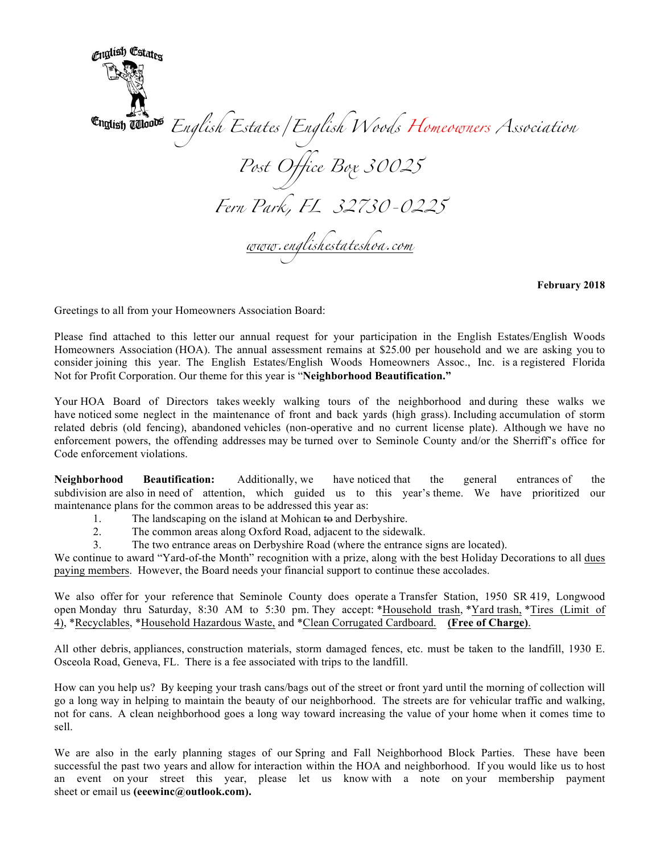<sub>Cu</sub>glish Estat<sub>ex</sub> *English Estates/English Woods Homeowners Association Post Office Box 30025 Fern Park, FL 32730-0225 www.englishestateshoa.com*

**February 2018**

Greetings to all from your Homeowners Association Board:

Please find attached to this letter our annual request for your participation in the English Estates/English Woods Homeowners Association (HOA). The annual assessment remains at \$25.00 per household and we are asking you to consider joining this year. The English Estates/English Woods Homeowners Assoc., Inc. is a registered Florida Not for Profit Corporation. Our theme for this year is "**Neighborhood Beautification."**

Your HOA Board of Directors takes weekly walking tours of the neighborhood and during these walks we have noticed some neglect in the maintenance of front and back yards (high grass). Including accumulation of storm related debris (old fencing), abandoned vehicles (non-operative and no current license plate). Although we have no enforcement powers, the offending addresses may be turned over to Seminole County and/or the Sherriff's office for Code enforcement violations.

**Neighborhood Beautification:** Additionally, we have noticed that the general entrances of the subdivision are also in need of attention, which guided us to this year's theme. We have prioritized our maintenance plans for the common areas to be addressed this year as:

- 1. The landscaping on the island at Mohican to and Derbyshire.
- 2. The common areas along Oxford Road, adjacent to the sidewalk.
- 3. The two entrance areas on Derbyshire Road (where the entrance signs are located).

We continue to award "Yard-of-the Month" recognition with a prize, along with the best Holiday Decorations to all dues paying members. However, the Board needs your financial support to continue these accolades.

We also offer for your reference that Seminole County does operate a Transfer Station, 1950 SR 419, Longwood open Monday thru Saturday, 8:30 AM to 5:30 pm. They accept: \*Household trash, \*Yard trash, \*Tires (Limit of 4), \*Recyclables, \*Household Hazardous Waste, and \*Clean Corrugated Cardboard. **(Free of Charge)**.

All other debris, appliances, construction materials, storm damaged fences, etc. must be taken to the landfill, 1930 E. Osceola Road, Geneva, FL. There is a fee associated with trips to the landfill.

How can you help us? By keeping your trash cans/bags out of the street or front yard until the morning of collection will go a long way in helping to maintain the beauty of our neighborhood. The streets are for vehicular traffic and walking, not for cans. A clean neighborhood goes a long way toward increasing the value of your home when it comes time to sell.

We are also in the early planning stages of our Spring and Fall Neighborhood Block Parties. These have been successful the past two years and allow for interaction within the HOA and neighborhood. If you would like us to host an event on your street this year, please let us know with a note on your membership payment sheet or email us **(eeewinc@outlook.com).**